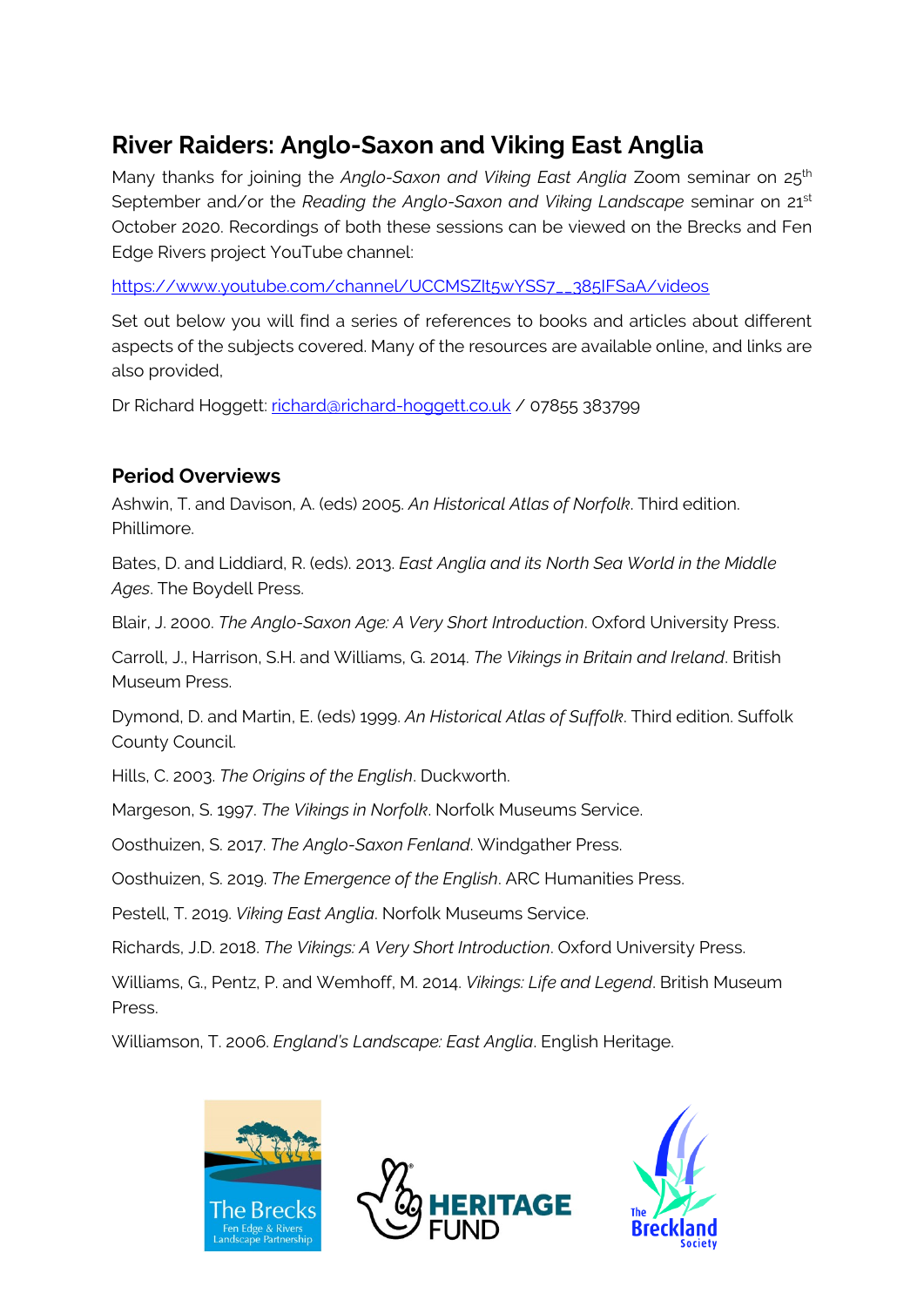# **River Raiders: Anglo-Saxon and Viking East Anglia**

Many thanks for joining the *Anglo-Saxon and Viking East Anglia* Zoom seminar on 25<sup>th</sup> September and/or the *Reading the Anglo-Saxon and Viking Landscape* seminar on 21<sup>st</sup> October 2020. Recordings of both these sessions can be viewed on the Brecks and Fen Edge Rivers project YouTube channel:

[https://www.youtube.com/channel/UCCMSZIt5wYSS7\\_\\_385IFSaA/videos](https://www.youtube.com/channel/UCCMSZIt5wYSS7__385IFSaA/videos)

Set out below you will find a series of references to books and articles about different aspects of the subjects covered. Many of the resources are available online, and links are also provided,

Dr Richard Hoggett: [richard@richard-hoggett.co.uk](mailto:richard@richard-hoggett.co.uk) / 07855 383799

#### **Period Overviews**

Ashwin, T. and Davison, A. (eds) 2005. *An Historical Atlas of Norfolk*. Third edition. Phillimore.

Bates, D. and Liddiard, R. (eds). 2013. *East Anglia and its North Sea World in the Middle Ages*. The Boydell Press.

Blair, J. 2000. *The Anglo-Saxon Age: A Very Short Introduction*. Oxford University Press.

Carroll, J., Harrison, S.H. and Williams, G. 2014. *The Vikings in Britain and Ireland*. British Museum Press.

Dymond, D. and Martin, E. (eds) 1999. *An Historical Atlas of Suffolk*. Third edition. Suffolk County Council.

Hills, C. 2003. *The Origins of the English*. Duckworth.

Margeson, S. 1997. *The Vikings in Norfolk*. Norfolk Museums Service.

Oosthuizen, S. 2017. *The Anglo-Saxon Fenland*. Windgather Press.

Oosthuizen, S. 2019. *The Emergence of the English*. ARC Humanities Press.

Pestell, T. 2019. *Viking East Anglia*. Norfolk Museums Service.

Richards, J.D. 2018. *The Vikings: A Very Short Introduction*. Oxford University Press.

Williams, G., Pentz, P. and Wemhoff, M. 2014. *Vikings: Life and Legend*. British Museum Press.

Williamson, T. 2006. *England's Landscape: East Anglia*. English Heritage.





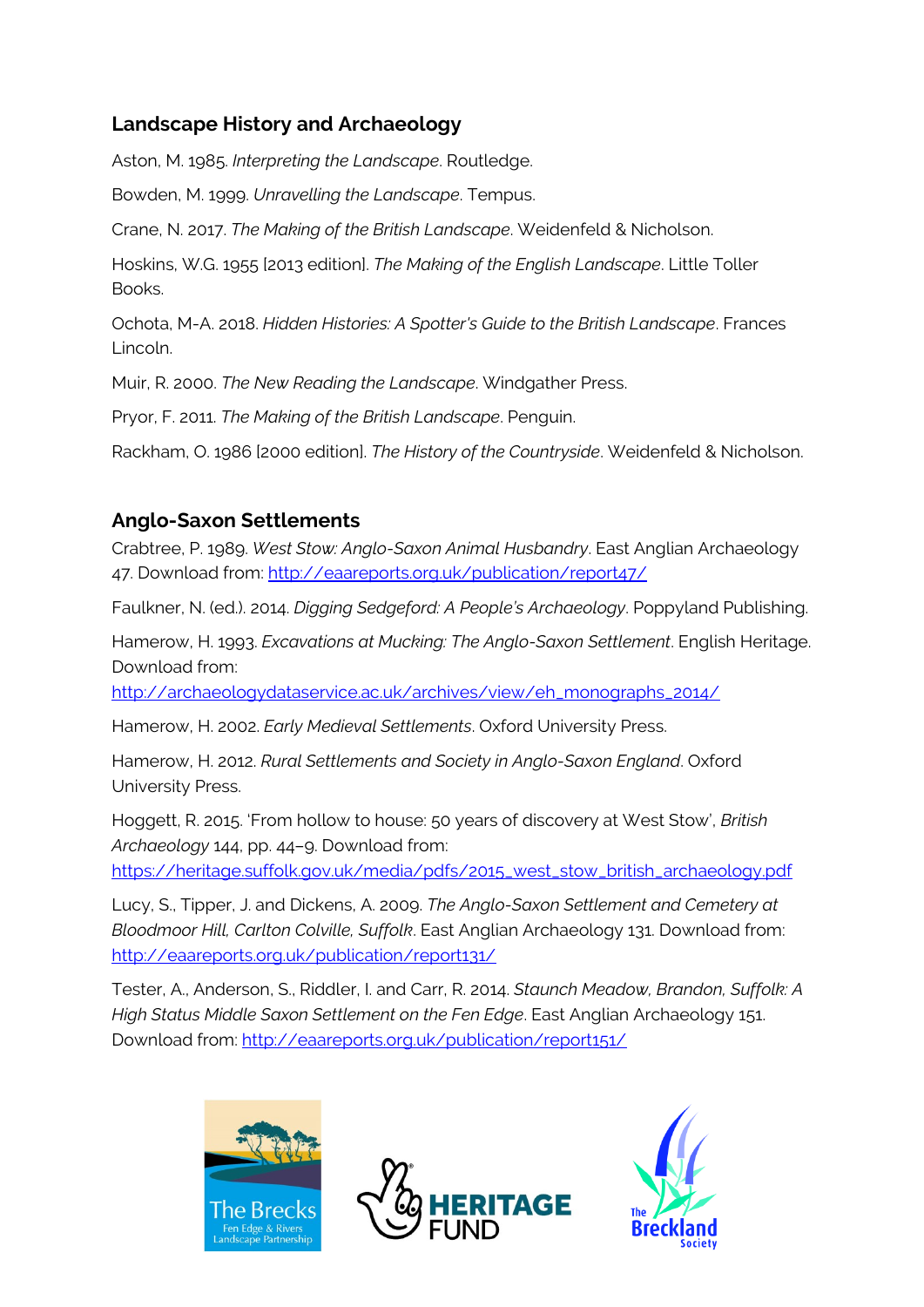# **Landscape History and Archaeology**

Aston, M. 1985. *Interpreting the Landscape*. Routledge.

Bowden, M. 1999. *Unravelling the Landscape*. Tempus.

Crane, N. 2017. *The Making of the British Landscape*. Weidenfeld & Nicholson.

Hoskins, W.G. 1955 [2013 edition]. *The Making of the English Landscape*. Little Toller Books.

Ochota, M-A. 2018. *Hidden Histories: A Spotter's Guide to the British Landscape*. Frances Lincoln.

Muir, R. 2000. *The New Reading the Landscape*. Windgather Press.

Pryor, F. 2011. *The Making of the British Landscape*. Penguin.

Rackham, O. 1986 [2000 edition]. *The History of the Countryside*. Weidenfeld & Nicholson.

#### **Anglo-Saxon Settlements**

Crabtree, P. 1989. *West Stow: Anglo-Saxon Animal Husbandry*. East Anglian Archaeology 47. Download from[: http://eaareports.org.uk/publication/report47/](http://eaareports.org.uk/publication/report47/)

Faulkner, N. (ed.). 2014. *Digging Sedgeford: A People's Archaeology*. Poppyland Publishing.

Hamerow, H. 1993. *Excavations at Mucking: The Anglo-Saxon Settlement*. English Heritage. Download from:

[http://archaeologydataservice.ac.uk/archives/view/eh\\_monographs\\_2014/](http://archaeologydataservice.ac.uk/archives/view/eh_monographs_2014/)

Hamerow, H. 2002. *Early Medieval Settlements*. Oxford University Press.

Hamerow, H. 2012. *Rural Settlements and Society in Anglo-Saxon England*. Oxford University Press.

Hoggett, R. 2015. 'From hollow to house: 50 years of discovery at West Stow', *British Archaeology* 144, pp. 44–9. Download from:

[https://heritage.suffolk.gov.uk/media/pdfs/2015\\_west\\_stow\\_british\\_archaeology.pdf](https://heritage.suffolk.gov.uk/media/pdfs/2015_west_stow_british_archaeology.pdf)

Lucy, S., Tipper, J. and Dickens, A. 2009. *The Anglo-Saxon Settlement and Cemetery at Bloodmoor Hill, Carlton Colville, Suffolk*. East Anglian Archaeology 131. Download from: <http://eaareports.org.uk/publication/report131/>

Tester, A., Anderson, S., Riddler, I. and Carr, R. 2014. *Staunch Meadow, Brandon, Suffolk: A High Status Middle Saxon Settlement on the Fen Edge*. East Anglian Archaeology 151. Download from:<http://eaareports.org.uk/publication/report151/>





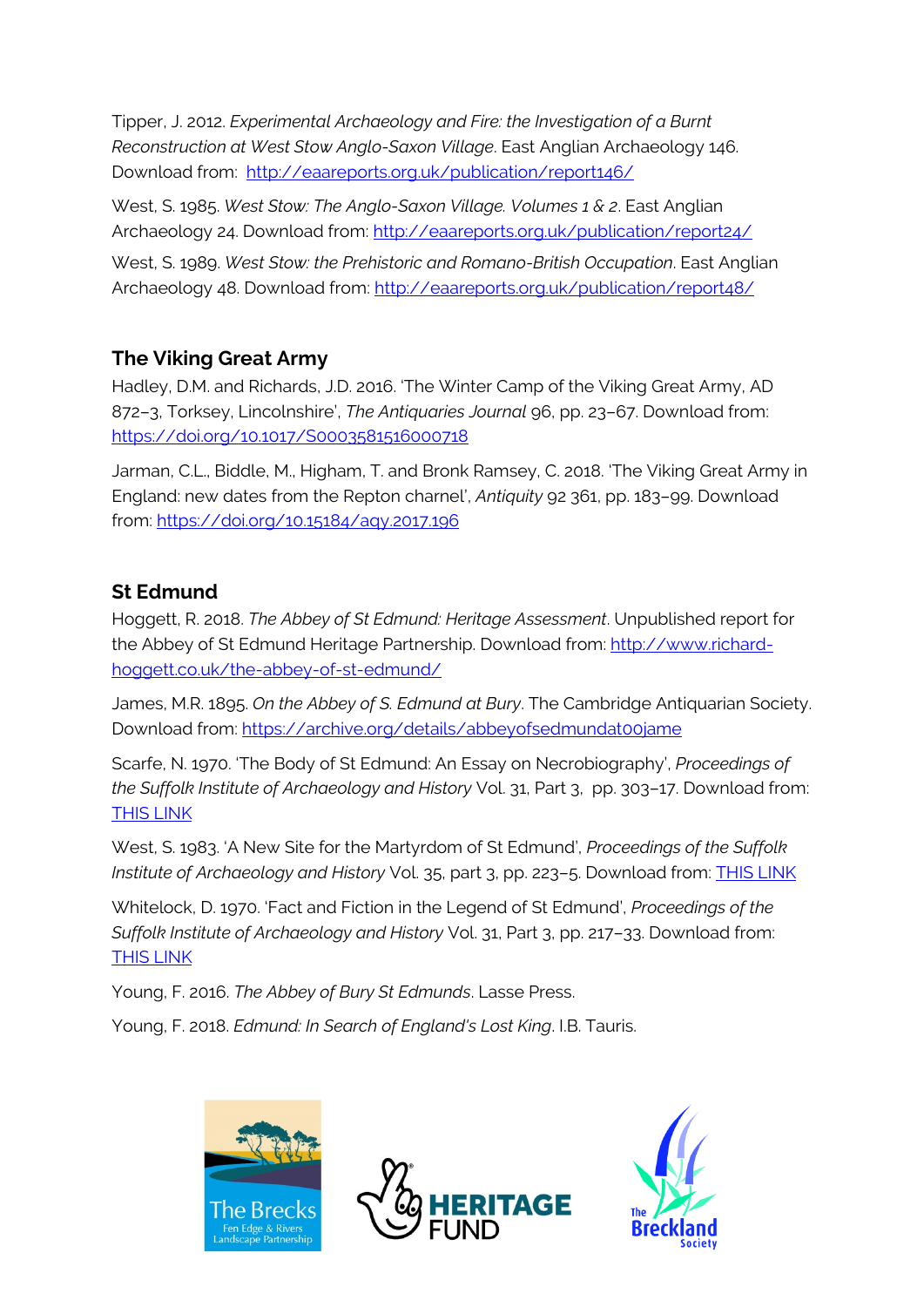Tipper, J. 2012. *Experimental Archaeology and Fire: the Investigation of a Burnt Reconstruction at West Stow Anglo-Saxon Village*. East Anglian Archaeology 146. Download from: <http://eaareports.org.uk/publication/report146/>

West, S. 1985. *West Stow: The Anglo-Saxon Village. Volumes 1 & 2*. East Anglian Archaeology 24. Download from:<http://eaareports.org.uk/publication/report24/>

West, S. 1989. *West Stow: the Prehistoric and Romano-British Occupation*. East Anglian Archaeology 48. Download from:<http://eaareports.org.uk/publication/report48/>

# **The Viking Great Army**

Hadley, D.M. and Richards, J.D. 2016. 'The Winter Camp of the Viking Great Army, AD 872–3, Torksey, Lincolnshire', *The Antiquaries Journal* 96, pp. 23–67. Download from: <https://doi.org/10.1017/S0003581516000718>

Jarman, C.L., Biddle, M., Higham, T. and Bronk Ramsey, C. 2018. 'The Viking Great Army in England: new dates from the Repton charnel', *Antiquity* 92 361, pp. 183–99. Download from:<https://doi.org/10.15184/aqy.2017.196>

# **St Edmund**

Hoggett, R. 2018. *The Abbey of St Edmund: Heritage Assessment*. Unpublished report for the Abbey of St Edmund Heritage Partnership. Download from: [http://www.richard](http://www.richard-hoggett.co.uk/the-abbey-of-st-edmund/)[hoggett.co.uk/the-abbey-of-st-edmund/](http://www.richard-hoggett.co.uk/the-abbey-of-st-edmund/)

James, M.R. 1895. *On the Abbey of S. Edmund at Bury*. The Cambridge Antiquarian Society. Download from:<https://archive.org/details/abbeyofsedmundat00jame>

Scarfe, N. 1970. 'The Body of St Edmund: An Essay on Necrobiography', *Proceedings of the Suffolk Institute of Archaeology and History* Vol. 31, Part 3, pp. 303–17. Download from: [THIS LINK](http://suffolkinstitute.pdfsrv.co.uk/customers/Suffolk%20Institute/2014/01/10/Volume%20XXXI%20Part%203%20(1969)_The%20body%20of%20St%20Edmund%20An%20essay%20in%20necrobiography%20N%20Scarfe_304%20to%20317.pdf)

West, S. 1983. 'A New Site for the Martyrdom of St Edmund', *Proceedings of the Suffolk Institute of Archaeology and History* Vol. 35, part 3, pp. 223–5. Download from: [THIS LINK](http://suffolkinstitute.pdfsrv.co.uk/customers/Suffolk%20Institute/2014/01/10/Volume%20XXXV%20Part%203%20(1983)_New%20site%20for%20martyrdom%20of%20St%20Edmund%20S%20E%20West_223%20to%20225.pdf)

Whitelock, D. 1970. 'Fact and Fiction in the Legend of St Edmund', *Proceedings of the Suffolk Institute of Archaeology and History* Vol. 31, Part 3, pp. 217–33. Download from: [THIS LINK](http://suffolkinstitute.pdfsrv.co.uk/customers/Suffolk%20Institute/2014/01/10/Volume%20XXXI%20Part%203%20(1969)_Fact%20and%20fiction%20in%20the%20legend%20of%20St%20Edmund%20D%20Whitelock_217%20to%20233.pdf)

Young, F. 2016. *The Abbey of Bury St Edmunds*. Lasse Press.

Young, F. 2018. *Edmund: In Search of England's Lost King*. I.B. Tauris.





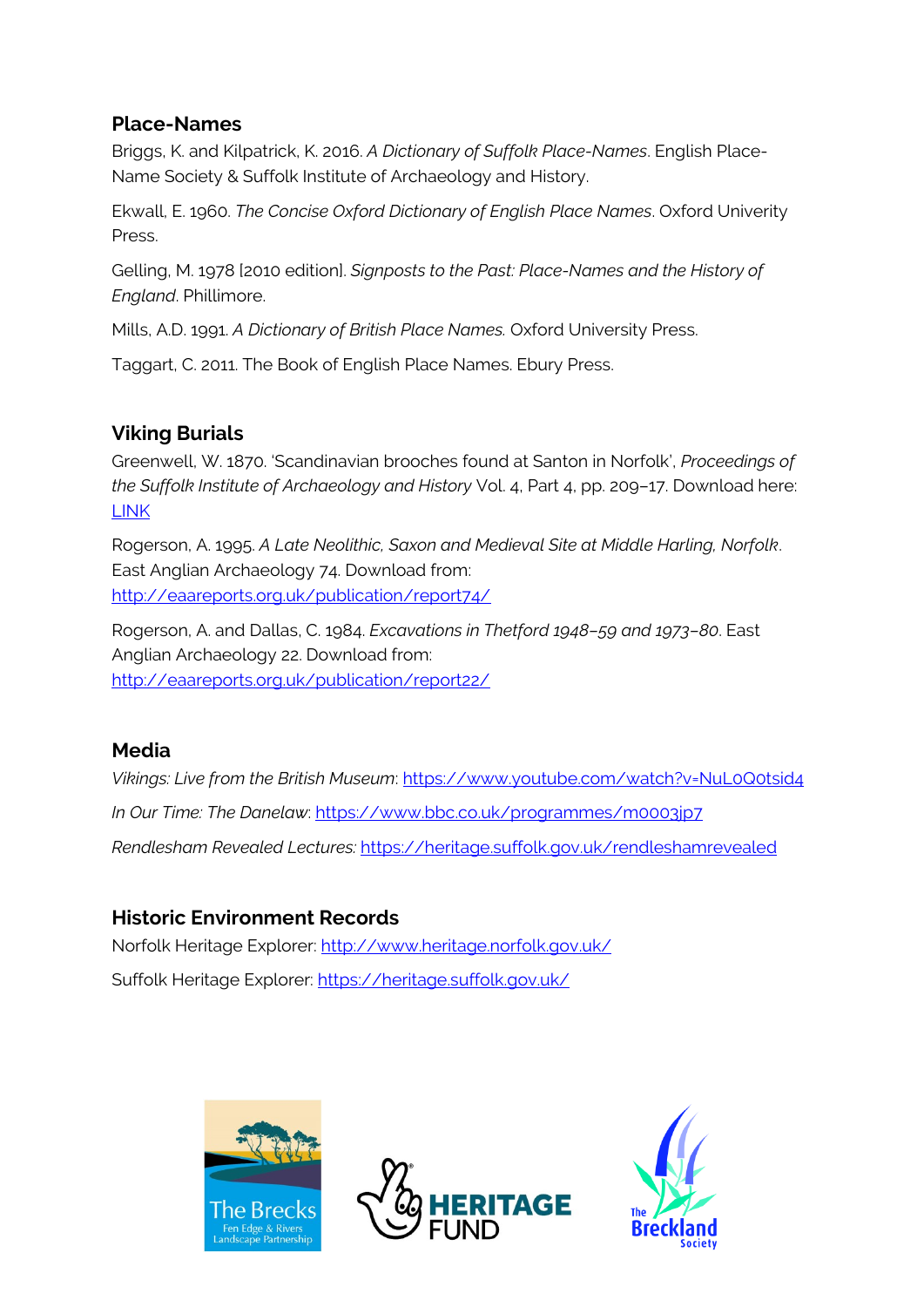#### **Place-Names**

Briggs, K. and Kilpatrick, K. 2016. *A Dictionary of Suffolk Place-Names*. English Place-Name Society & Suffolk Institute of Archaeology and History.

Ekwall, E. 1960. *The Concise Oxford Dictionary of English Place Names*. Oxford Univerity **Press**.

Gelling, M. 1978 [2010 edition]. *Signposts to the Past: Place-Names and the History of England*. Phillimore.

Mills, A.D. 1991. *A Dictionary of British Place Names.* Oxford University Press.

Taggart, C. 2011. The Book of English Place Names. Ebury Press.

#### **Viking Burials**

Greenwell, W. 1870. 'Scandinavian brooches found at Santon in Norfolk', *Proceedings of the Suffolk Institute of Archaeology and History* Vol. 4, Part 4, pp. 209–17. Download here: [LINK](http://suffolkinstitute.pdfsrv.co.uk/customers/Suffolk%20Institute/2014/01/10/Volume%20IV%20Part%204%20(1870)_Scandinavian%20Brooches%20found%20at%20Santon,%20Norfolk%20W.%20Greenwell_208%20to%20217.pdf)

Rogerson, A. 1995. *A Late Neolithic, Saxon and Medieval Site at Middle Harling, Norfolk*. East Anglian Archaeology 74. Download from: <http://eaareports.org.uk/publication/report74/>

Rogerson, A. and Dallas, C. 1984. *Excavations in Thetford 1948–59 and 1973–80*. East Anglian Archaeology 22. Download from: <http://eaareports.org.uk/publication/report22/>

#### **Media**

*Vikings: Live from the British Museum*:<https://www.youtube.com/watch?v=NuL0Q0tsid4> *In Our Time: The Danelaw*:<https://www.bbc.co.uk/programmes/m0003jp7> *Rendlesham Revealed Lectures:* <https://heritage.suffolk.gov.uk/rendleshamrevealed>

# **Historic Environment Records**

Norfolk Heritage Explorer:<http://www.heritage.norfolk.gov.uk/> Suffolk Heritage Explorer: <https://heritage.suffolk.gov.uk/>